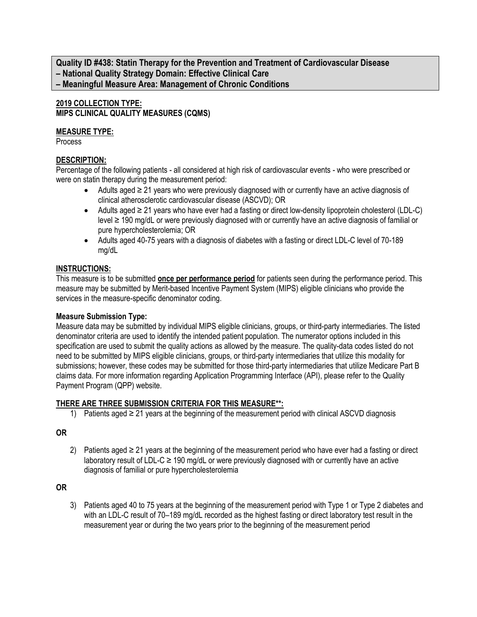**Quality ID #438: Statin Therapy for the Prevention and Treatment of Cardiovascular Disease – National Quality Strategy Domain: Effective Clinical Care – Meaningful Measure Area: Management of Chronic Conditions**

### **2019 COLLECTION TYPE: MIPS CLINICAL QUALITY MEASURES (CQMS)**

#### **MEASURE TYPE:**

Process

# **DESCRIPTION:**

Percentage of the following patients - all considered at high risk of cardiovascular events - who were prescribed or were on statin therapy during the measurement period:

- Adults aged ≥ 21 years who were previously diagnosed with or currently have an active diagnosis of clinical atherosclerotic cardiovascular disease (ASCVD); OR
- Adults aged ≥ 21 years who have ever had a fasting or direct low-density lipoprotein cholesterol (LDL-C) level ≥ 190 mg/dL or were previously diagnosed with or currently have an active diagnosis of familial or pure hypercholesterolemia; OR
- Adults aged 40-75 years with a diagnosis of diabetes with a fasting or direct LDL-C level of 70-189 mg/dL

### **INSTRUCTIONS:**

This measure is to be submitted **once per performance period** for patients seen during the performance period. This measure may be submitted by Merit-based Incentive Payment System (MIPS) eligible clinicians who provide the services in the measure-specific denominator coding.

#### **Measure Submission Type:**

Measure data may be submitted by individual MIPS eligible clinicians, groups, or third-party intermediaries. The listed denominator criteria are used to identify the intended patient population. The numerator options included in this specification are used to submit the quality actions as allowed by the measure. The quality-data codes listed do not need to be submitted by MIPS eligible clinicians, groups, or third-party intermediaries that utilize this modality for submissions; however, these codes may be submitted for those third-party intermediaries that utilize Medicare Part B claims data. For more information regarding Application Programming Interface (API), please refer to the Quality Payment Program (QPP) website.

#### **THERE ARE THREE SUBMISSION CRITERIA FOR THIS MEASURE\*\*:**

1) Patients aged ≥ 21 years at the beginning of the measurement period with clinical ASCVD diagnosis

#### **OR**

2) Patients aged ≥ 21 years at the beginning of the measurement period who have ever had a fasting or direct laboratory result of LDL-C ≥ 190 mg/dL or were previously diagnosed with or currently have an active diagnosis of familial or pure hypercholesterolemia

# **OR**

3) Patients aged 40 to 75 years at the beginning of the measurement period with Type 1 or Type 2 diabetes and with an LDL-C result of 70–189 mg/dL recorded as the highest fasting or direct laboratory test result in the measurement year or during the two years prior to the beginning of the measurement period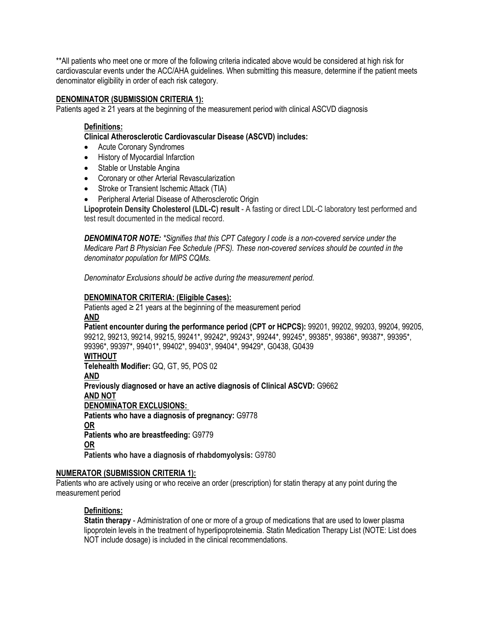\*\*All patients who meet one or more of the following criteria indicated above would be considered at high risk for cardiovascular events under the ACC/AHA guidelines. When submitting this measure, determine if the patient meets denominator eligibility in order of each risk category.

#### **DENOMINATOR (SUBMISSION CRITERIA 1):**

Patients aged ≥ 21 years at the beginning of the measurement period with clinical ASCVD diagnosis

#### **Definitions:**

#### **Clinical Atherosclerotic Cardiovascular Disease (ASCVD) includes:**

- Acute Coronary Syndromes
- History of Myocardial Infarction
- Stable or Unstable Angina
- Coronary or other Arterial Revascularization
- Stroke or Transient Ischemic Attack (TIA)
- Peripheral Arterial Disease of Atherosclerotic Origin

**Lipoprotein Density Cholesterol (LDL-C) result** - A fasting or direct LDL-C laboratory test performed and test result documented in the medical record.

*DENOMINATOR NOTE: \*Signifies that this CPT Category I code is a non-covered service under the Medicare Part B Physician Fee Schedule (PFS). These non-covered services should be counted in the denominator population for MIPS CQMs.*

*Denominator Exclusions should be active during the measurement period.*

#### **DENOMINATOR CRITERIA: (Eligible Cases):**

Patients aged  $\geq 21$  years at the beginning of the measurement period **AND**

**Patient encounter during the performance period (CPT or HCPCS):** 99201, 99202, 99203, 99204, 99205, 99212, 99213, 99214, 99215, 99241\*, 99242\*, 99243\*, 99244\*, 99245\*, 99385\*, 99386\*, 99387\*, 99395\*, 99396\*, 99397\*, 99401\*, 99402\*, 99403\*, 99404\*, 99429\*, G0438, G0439

#### **WITHOUT**

**Telehealth Modifier:** GQ, GT, 95, POS 02

#### **AND**

**Previously diagnosed or have an active diagnosis of Clinical ASCVD:** G9662 **AND NOT DENOMINATOR EXCLUSIONS:**

**Patients who have a diagnosis of pregnancy:** G9778 **OR Patients who are breastfeeding:** G9779 **OR**

**Patients who have a diagnosis of rhabdomyolysis:** G9780

#### **NUMERATOR (SUBMISSION CRITERIA 1):**

Patients who are actively using or who receive an order (prescription) for statin therapy at any point during the measurement period

#### **Definitions:**

**Statin therapy** - Administration of one or more of a group of medications that are used to lower plasma lipoprotein levels in the treatment of hyperlipoproteinemia. Statin Medication Therapy List (NOTE: List does NOT include dosage) is included in the clinical recommendations.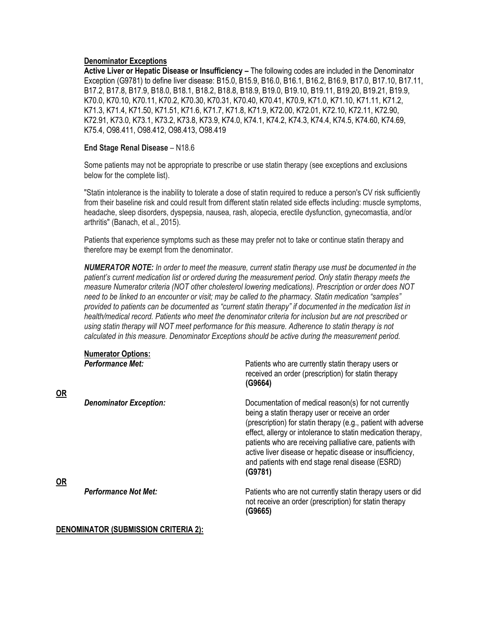#### **Denominator Exceptions**

**Active Liver or Hepatic Disease or Insufficiency –** The following codes are included in the Denominator Exception (G9781) to define liver disease: B15.0, B15.9, B16.0, B16.1, B16.2, B16.9, B17.0, B17.10, B17.11, B17.2, B17.8, B17.9, B18.0, B18.1, B18.2, B18.8, B18.9, B19.0, B19.10, B19.11, B19.20, B19.21, B19.9, K70.0, K70.10, K70.11, K70.2, K70.30, K70.31, K70.40, K70.41, K70.9, K71.0, K71.10, K71.11, K71.2, K71.3, K71.4, K71.50, K71.51, K71.6, K71.7, K71.8, K71.9, K72.00, K72.01, K72.10, K72.11, K72.90, K72.91, K73.0, K73.1, K73.2, K73.8, K73.9, K74.0, K74.1, K74.2, K74.3, K74.4, K74.5, K74.60, K74.69, K75.4, O98.411, O98.412, O98.413, O98.419

#### **End Stage Renal Disease** – N18.6

Some patients may not be appropriate to prescribe or use statin therapy (see exceptions and exclusions below for the complete list).

"Statin intolerance is the inability to tolerate a dose of statin required to reduce a person's CV risk sufficiently from their baseline risk and could result from different statin related side effects including: muscle symptoms, headache, sleep disorders, dyspepsia, nausea, rash, alopecia, erectile dysfunction, gynecomastia, and/or arthritis" (Banach, et al., 2015).

Patients that experience symptoms such as these may prefer not to take or continue statin therapy and therefore may be exempt from the denominator.

*NUMERATOR NOTE: In order to meet the measure, current statin therapy use must be documented in the patient's current medication list or ordered during the measurement period. Only statin therapy meets the measure Numerator criteria (NOT other cholesterol lowering medications). Prescription or order does NOT need to be linked to an encounter or visit; may be called to the pharmacy. Statin medication "samples" provided to patients can be documented as "current statin therapy" if documented in the medication list in health/medical record. Patients who meet the denominator criteria for inclusion but are not prescribed or using statin therapy will NOT meet performance for this measure. Adherence to statin therapy is not calculated in this measure. Denominator Exceptions should be active during the measurement period.*

| <b>OR</b> | <b>Numerator Options:</b><br><b>Performance Met:</b> | Patients who are currently statin therapy users or<br>received an order (prescription) for statin therapy<br>(G9664)                                                                                                                                                                                                                                                                                                              |  |
|-----------|------------------------------------------------------|-----------------------------------------------------------------------------------------------------------------------------------------------------------------------------------------------------------------------------------------------------------------------------------------------------------------------------------------------------------------------------------------------------------------------------------|--|
| <b>OR</b> | <b>Denominator Exception:</b>                        | Documentation of medical reason(s) for not currently<br>being a statin therapy user or receive an order<br>(prescription) for statin therapy (e.g., patient with adverse<br>effect, allergy or intolerance to statin medication therapy,<br>patients who are receiving palliative care, patients with<br>active liver disease or hepatic disease or insufficiency,<br>and patients with end stage renal disease (ESRD)<br>(G9781) |  |
|           | <b>Performance Not Met:</b>                          | Patients who are not currently statin therapy users or did<br>not receive an order (prescription) for statin therapy<br>(G9665)                                                                                                                                                                                                                                                                                                   |  |

#### **DENOMINATOR (SUBMISSION CRITERIA 2):**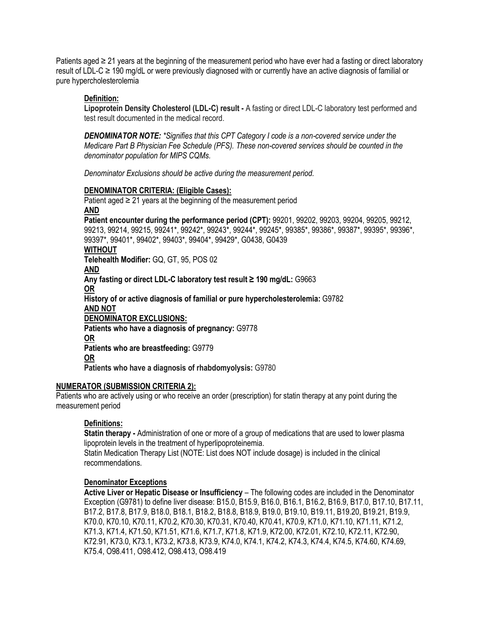Patients aged ≥ 21 years at the beginning of the measurement period who have ever had a fasting or direct laboratory result of LDL-C ≥ 190 mg/dL or were previously diagnosed with or currently have an active diagnosis of familial or pure hypercholesterolemia

#### **Definition:**

**Lipoprotein Density Cholesterol (LDL-C) result -** A fasting or direct LDL-C laboratory test performed and test result documented in the medical record.

*DENOMINATOR NOTE: \*Signifies that this CPT Category I code is a non-covered service under the Medicare Part B Physician Fee Schedule (PFS). These non-covered services should be counted in the denominator population for MIPS CQMs.*

*Denominator Exclusions should be active during the measurement period.*

#### **DENOMINATOR CRITERIA: (Eligible Cases):**

Patient aged  $\geq 21$  years at the beginning of the measurement period **AND Patient encounter during the performance period (CPT):** 99201, 99202, 99203, 99204, 99205, 99212, 99213, 99214, 99215, 99241\*, 99242\*, 99243\*, 99244\*, 99245\*, 99385\*, 99386\*, 99387\*, 99395\*, 99396\*, 99397\*, 99401\*, 99402\*, 99403\*, 99404\*, 99429\*, G0438, G0439 **WITHOUT Telehealth Modifier:** GQ, GT, 95, POS 02 **AND Any fasting or direct LDL-C laboratory test result ≥ 190 mg/dL:** G9663 **OR History of or active diagnosis of familial or pure hypercholesterolemia:** G9782 **AND NOT DENOMINATOR EXCLUSIONS: Patients who have a diagnosis of pregnancy:** G9778 **OR Patients who are breastfeeding:** G9779 **OR Patients who have a diagnosis of rhabdomyolysis:** G9780

#### **NUMERATOR (SUBMISSION CRITERIA 2):**

Patients who are actively using or who receive an order (prescription) for statin therapy at any point during the measurement period

#### **Definitions:**

**Statin therapy -** Administration of one or more of a group of medications that are used to lower plasma lipoprotein levels in the treatment of hyperlipoproteinemia.

Statin Medication Therapy List (NOTE: List does NOT include dosage) is included in the clinical recommendations.

#### **Denominator Exceptions**

**Active Liver or Hepatic Disease or Insufficiency** – The following codes are included in the Denominator Exception (G9781) to define liver disease: B15.0, B15.9, B16.0, B16.1, B16.2, B16.9, B17.0, B17.10, B17.11, B17.2, B17.8, B17.9, B18.0, B18.1, B18.2, B18.8, B18.9, B19.0, B19.10, B19.11, B19.20, B19.21, B19.9, K70.0, K70.10, K70.11, K70.2, K70.30, K70.31, K70.40, K70.41, K70.9, K71.0, K71.10, K71.11, K71.2, K71.3, K71.4, K71.50, K71.51, K71.6, K71.7, K71.8, K71.9, K72.00, K72.01, K72.10, K72.11, K72.90, K72.91, K73.0, K73.1, K73.2, K73.8, K73.9, K74.0, K74.1, K74.2, K74.3, K74.4, K74.5, K74.60, K74.69, K75.4, O98.411, O98.412, O98.413, O98.419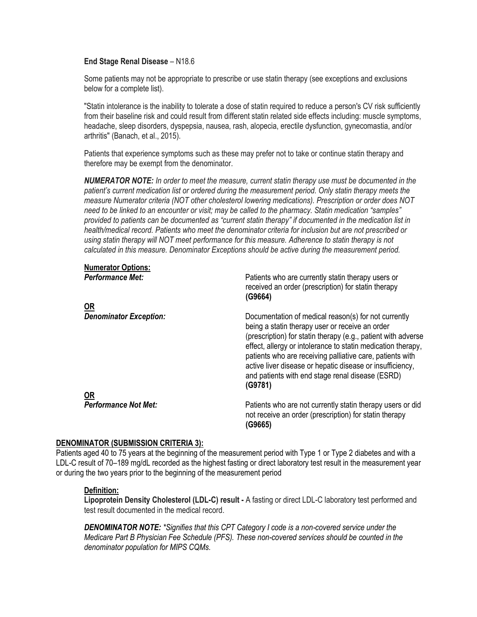#### **End Stage Renal Disease** – N18.6

Some patients may not be appropriate to prescribe or use statin therapy (see exceptions and exclusions below for a complete list).

"Statin intolerance is the inability to tolerate a dose of statin required to reduce a person's CV risk sufficiently from their baseline risk and could result from different statin related side effects including: muscle symptoms, headache, sleep disorders, dyspepsia, nausea, rash, alopecia, erectile dysfunction, gynecomastia, and/or arthritis" (Banach, et al., 2015).

Patients that experience symptoms such as these may prefer not to take or continue statin therapy and therefore may be exempt from the denominator.

*NUMERATOR NOTE: In order to meet the measure, current statin therapy use must be documented in the patient's current medication list or ordered during the measurement period. Only statin therapy meets the measure Numerator criteria (NOT other cholesterol lowering medications). Prescription or order does NOT need to be linked to an encounter or visit; may be called to the pharmacy. Statin medication "samples" provided to patients can be documented as "current statin therapy" if documented in the medication list in health/medical record. Patients who meet the denominator criteria for inclusion but are not prescribed or using statin therapy will NOT meet performance for this measure. Adherence to statin therapy is not calculated in this measure. Denominator Exceptions should be active during the measurement period.*

| Numerator Options:            |                                                                                                                                                                                                                                                                                                                                                                                                                                   |
|-------------------------------|-----------------------------------------------------------------------------------------------------------------------------------------------------------------------------------------------------------------------------------------------------------------------------------------------------------------------------------------------------------------------------------------------------------------------------------|
| <b>Performance Met:</b>       | Patients who are currently statin therapy users or<br>received an order (prescription) for statin therapy<br>(G9664)                                                                                                                                                                                                                                                                                                              |
| <b>OR</b>                     |                                                                                                                                                                                                                                                                                                                                                                                                                                   |
| <b>Denominator Exception:</b> | Documentation of medical reason(s) for not currently<br>being a statin therapy user or receive an order<br>(prescription) for statin therapy (e.g., patient with adverse<br>effect, allergy or intolerance to statin medication therapy,<br>patients who are receiving palliative care, patients with<br>active liver disease or hepatic disease or insufficiency,<br>and patients with end stage renal disease (ESRD)<br>(G9781) |
| <b>OR</b>                     |                                                                                                                                                                                                                                                                                                                                                                                                                                   |
| <b>Performance Not Met:</b>   | Patients who are not currently statin therapy users or did<br>not receive an order (prescription) for statin therapy<br>(G9665)                                                                                                                                                                                                                                                                                                   |

#### **DENOMINATOR (SUBMISSION CRITERIA 3):**

**Numerator Options:**

Patients aged 40 to 75 years at the beginning of the measurement period with Type 1 or Type 2 diabetes and with a LDL-C result of 70–189 mg/dL recorded as the highest fasting or direct laboratory test result in the measurement year or during the two years prior to the beginning of the measurement period

#### **Definition:**

**Lipoprotein Density Cholesterol (LDL-C) result -** A fasting or direct LDL-C laboratory test performed and test result documented in the medical record.

*DENOMINATOR NOTE: \*Signifies that this CPT Category I code is a non-covered service under the Medicare Part B Physician Fee Schedule (PFS). These non-covered services should be counted in the denominator population for MIPS CQMs.*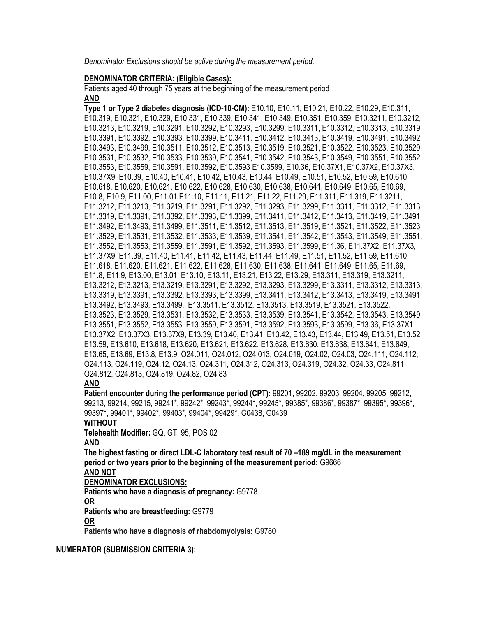*Denominator Exclusions should be active during the measurement period.*

#### **DENOMINATOR CRITERIA: (Eligible Cases):**

Patients aged 40 through 75 years at the beginning of the measurement period **AND**

**Type 1 or Type 2 diabetes diagnosis (ICD-10-CM):** E10.10, E10.11, E10.21, E10.22, E10.29, E10.311, E10.319, E10.321, E10.329, E10.331, E10.339, E10.341, E10.349, E10.351, E10.359, E10.3211, E10.3212, E10.3213, E10.3219, E10.3291, E10.3292, E10.3293, E10.3299, E10.3311, E10.3312, E10.3313, E10.3319, E10.3391, E10.3392, E10.3393, E10.3399, E10.3411, E10.3412, E10.3413, E10.3419, E10.3491, E10.3492, E10.3493, E10.3499, E10.3511, E10.3512, E10.3513, E10.3519, E10.3521, E10.3522, E10.3523, E10.3529, E10.3531, E10.3532, E10.3533, E10.3539, E10.3541, E10.3542, E10.3543, E10.3549, E10.3551, E10.3552, E10.3553, E10.3559, E10.3591, E10.3592, E10.3593 E10.3599, E10.36, E10.37X1, E10.37X2, E10.37X3, E10.37X9, E10.39, E10.40, E10.41, E10.42, E10.43, E10.44, E10.49, E10.51, E10.52, E10.59, E10.610, E10.618, E10.620, E10.621, E10.622, E10.628, E10.630, E10.638, E10.641, E10.649, E10.65, E10.69, E10.8, E10.9, E11.00, E11.01,E11.10, E11.11, E11.21, E11.22, E11.29, E11.311, E11.319, E11.3211, E11.3212, E11.3213, E11.3219, E11.3291, E11.3292, E11.3293, E11.3299, E11.3311, E11.3312, E11.3313, E11.3319, E11.3391, E11.3392, E11.3393, E11.3399, E11.3411, E11.3412, E11.3413, E11.3419, E11.3491, E11.3492, E11.3493, E11.3499, E11.3511, E11.3512, E11.3513, E11.3519, E11.3521, E11.3522, E11.3523, E11.3529, E11.3531, E11.3532, E11.3533, E11.3539, E11.3541, E11.3542, E11.3543, E11.3549, E11.3551, E11.3552, E11.3553, E11.3559, E11.3591, E11.3592, E11.3593, E11.3599, E11.36, E11.37X2, E11.37X3, E11.37X9, E11.39, E11.40, E11.41, E11.42, E11.43, E11.44, E11.49, E11.51, E11.52, E11.59, E11.610, E11.618, E11.620, E11.621, E11.622, E11.628, E11.630, E11.638, E11.641, E11.649, E11.65, E11.69, E11.8, E11.9, E13.00, E13.01, E13.10, E13.11, E13.21, E13.22, E13.29, E13.311, E13.319, E13.3211, E13.3212, E13.3213, E13.3219, E13.3291, E13.3292, E13.3293, E13.3299, E13.3311, E13.3312, E13.3313, E13.3319, E13.3391, E13.3392, E13.3393, E13.3399, E13.3411, E13.3412, E13.3413, E13.3419, E13.3491, E13.3492, E13.3493, E13.3499, E13.3511, E13.3512, E13.3513, E13.3519, E13.3521, E13.3522, E13.3523, E13.3529, E13.3531, E13.3532, E13.3533, E13.3539, E13.3541, E13.3542, E13.3543, E13.3549, E13.3551, E13.3552, E13.3553, E13.3559, E13.3591, E13.3592, E13.3593, E13.3599, E13.36, E13.37X1, E13.37X2, E13.37X3, E13.37X9, E13.39, E13.40, E13.41, E13.42, E13.43, E13.44, E13.49, E13.51, E13.52, E13.59, E13.610, E13.618, E13.620, E13.621, E13.622, E13.628, E13.630, E13.638, E13.641, E13.649, E13.65, E13.69, E13.8, E13.9, O24.011, O24.012, O24.013, O24.019, O24.02, O24.03, O24.111, O24.112, O24.113, O24.119, O24.12, O24.13, O24.311, O24.312, O24.313, O24.319, O24.32, O24.33, O24.811, O24.812, O24.813, O24.819, O24.82, O24.83

#### **AND**

**Patient encounter during the performance period (CPT):** 99201, 99202, 99203, 99204, 99205, 99212, 99213, 99214, 99215, 99241\*, 99242\*, 99243\*, 99244\*, 99245\*, 99385\*, 99386\*, 99387\*, 99395\*, 99396\*, 99397\*, 99401\*, 99402\*, 99403\*, 99404\*, 99429\*, G0438, G0439

#### **WITHOUT**

**Telehealth Modifier:** GQ, GT, 95, POS 02

#### **AND**

**The highest fasting or direct LDL-C laboratory test result of 70 –189 mg/dL in the measurement period or two years prior to the beginning of the measurement period:** G9666

# **AND NOT**

**DENOMINATOR EXCLUSIONS:**

**Patients who have a diagnosis of pregnancy:** G9778 **OR**

**Patients who are breastfeeding:** G9779

#### **OR**

**Patients who have a diagnosis of rhabdomyolysis:** G9780

#### **NUMERATOR (SUBMISSION CRITERIA 3):**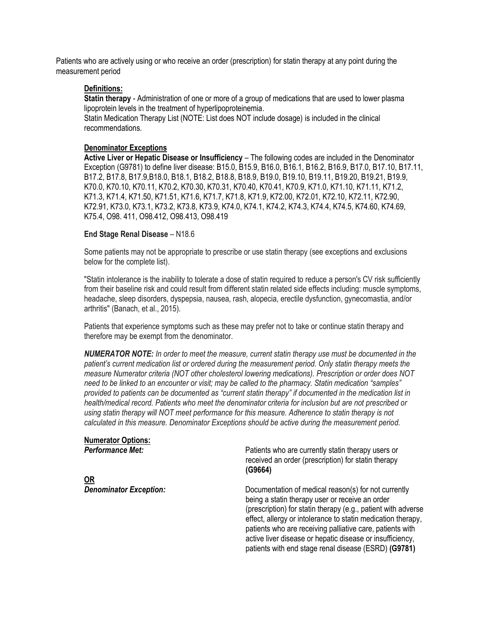Patients who are actively using or who receive an order (prescription) for statin therapy at any point during the measurement period

#### **Definitions:**

**Statin therapy** - Administration of one or more of a group of medications that are used to lower plasma lipoprotein levels in the treatment of hyperlipoproteinemia.

Statin Medication Therapy List (NOTE: List does NOT include dosage) is included in the clinical recommendations.

#### **Denominator Exceptions**

**Active Liver or Hepatic Disease or Insufficiency** – The following codes are included in the Denominator Exception (G9781) to define liver disease: B15.0, B15.9, B16.0, B16.1, B16.2, B16.9, B17.0, B17.10, B17.11, B17.2, B17.8, B17.9,B18.0, B18.1, B18.2, B18.8, B18.9, B19.0, B19.10, B19.11, B19.20, B19.21, B19.9, K70.0, K70.10, K70.11, K70.2, K70.30, K70.31, K70.40, K70.41, K70.9, K71.0, K71.10, K71.11, K71.2, K71.3, K71.4, K71.50, K71.51, K71.6, K71.7, K71.8, K71.9, K72.00, K72.01, K72.10, K72.11, K72.90, K72.91, K73.0, K73.1, K73.2, K73.8, K73.9, K74.0, K74.1, K74.2, K74.3, K74.4, K74.5, K74.60, K74.69, K75.4, O98. 411, O98.412, O98.413, O98.419

#### **End Stage Renal Disease** – N18.6

Some patients may not be appropriate to prescribe or use statin therapy (see exceptions and exclusions below for the complete list).

"Statin intolerance is the inability to tolerate a dose of statin required to reduce a person's CV risk sufficiently from their baseline risk and could result from different statin related side effects including: muscle symptoms, headache, sleep disorders, dyspepsia, nausea, rash, alopecia, erectile dysfunction, gynecomastia, and/or arthritis" (Banach, et al., 2015).

Patients that experience symptoms such as these may prefer not to take or continue statin therapy and therefore may be exempt from the denominator.

*NUMERATOR NOTE: In order to meet the measure, current statin therapy use must be documented in the patient's current medication list or ordered during the measurement period. Only statin therapy meets the measure Numerator criteria (NOT other cholesterol lowering medications). Prescription or order does NOT need to be linked to an encounter or visit; may be called to the pharmacy. Statin medication "samples" provided to patients can be documented as "current statin therapy" if documented in the medication list in health/medical record. Patients who meet the denominator criteria for inclusion but are not prescribed or using statin therapy will NOT meet performance for this measure. Adherence to statin therapy is not calculated in this measure. Denominator Exceptions should be active during the measurement period.*

# **Numerator Options:**

**OR**

Patients who are currently statin therapy users or received an order (prescription) for statin therapy **(G9664)**

**Denominator Exception:** Documentation of medical reason(s) for not currently being a statin therapy user or receive an order (prescription) for statin therapy (e.g., patient with adverse effect, allergy or intolerance to statin medication therapy, patients who are receiving palliative care, patients with active liver disease or hepatic disease or insufficiency, patients with end stage renal disease (ESRD) **(G9781)**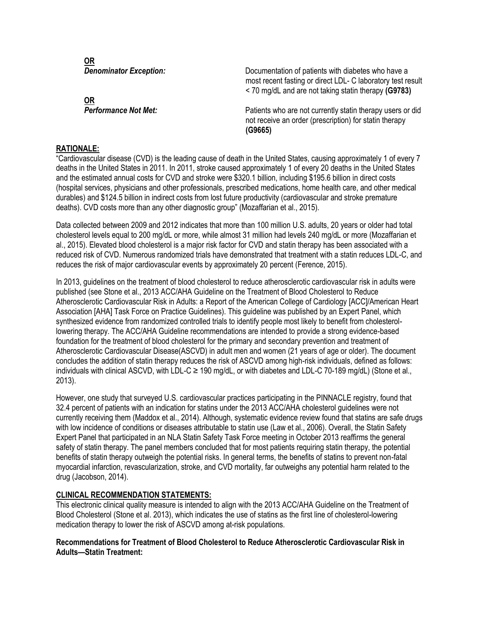**OR**

**OR**

**Denominator Exception:** Documentation of patients with diabetes who have a most recent fasting or direct LDL- C laboratory test result < 70 mg/dL and are not taking statin therapy **(G9783)**

**Performance Not Met: Patients who are not currently statin therapy users or did** not receive an order (prescription) for statin therapy **(G9665)**

#### **RATIONALE:**

"Cardiovascular disease (CVD) is the leading cause of death in the United States, causing approximately 1 of every 7 deaths in the United States in 2011. In 2011, stroke caused approximately 1 of every 20 deaths in the United States and the estimated annual costs for CVD and stroke were \$320.1 billion, including \$195.6 billion in direct costs (hospital services, physicians and other professionals, prescribed medications, home health care, and other medical durables) and \$124.5 billion in indirect costs from lost future productivity (cardiovascular and stroke premature deaths). CVD costs more than any other diagnostic group" (Mozaffarian et al., 2015).

Data collected between 2009 and 2012 indicates that more than 100 million U.S. adults, 20 years or older had total cholesterol levels equal to 200 mg/dL or more, while almost 31 million had levels 240 mg/dL or more (Mozaffarian et al., 2015). Elevated blood cholesterol is a major risk factor for CVD and statin therapy has been associated with a reduced risk of CVD. Numerous randomized trials have demonstrated that treatment with a statin reduces LDL-C, and reduces the risk of major cardiovascular events by approximately 20 percent (Ference, 2015).

In 2013, guidelines on the treatment of blood cholesterol to reduce atherosclerotic cardiovascular risk in adults were published (see Stone et al., 2013 ACC/AHA Guideline on the Treatment of Blood Cholesterol to Reduce Atherosclerotic Cardiovascular Risk in Adults: a Report of the American College of Cardiology [ACC]/American Heart Association [AHA] Task Force on Practice Guidelines). This guideline was published by an Expert Panel, which synthesized evidence from randomized controlled trials to identify people most likely to benefit from cholesterollowering therapy. The ACC/AHA Guideline recommendations are intended to provide a strong evidence-based foundation for the treatment of blood cholesterol for the primary and secondary prevention and treatment of Atherosclerotic Cardiovascular Disease(ASCVD) in adult men and women (21 years of age or older). The document concludes the addition of statin therapy reduces the risk of ASCVD among high-risk individuals, defined as follows: individuals with clinical ASCVD, with LDL-C ≥ 190 mg/dL, or with diabetes and LDL-C 70-189 mg/dL) (Stone et al., 2013).

However, one study that surveyed U.S. cardiovascular practices participating in the PINNACLE registry, found that 32.4 percent of patients with an indication for statins under the 2013 ACC/AHA cholesterol guidelines were not currently receiving them (Maddox et al., 2014). Although, systematic evidence review found that statins are safe drugs with low incidence of conditions or diseases attributable to statin use (Law et al., 2006). Overall, the Statin Safety Expert Panel that participated in an NLA Statin Safety Task Force meeting in October 2013 reaffirms the general safety of statin therapy. The panel members concluded that for most patients requiring statin therapy, the potential benefits of statin therapy outweigh the potential risks. In general terms, the benefits of statins to prevent non-fatal myocardial infarction, revascularization, stroke, and CVD mortality, far outweighs any potential harm related to the drug (Jacobson, 2014).

#### **CLINICAL RECOMMENDATION STATEMENTS:**

This electronic clinical quality measure is intended to align with the 2013 ACC/AHA Guideline on the Treatment of Blood Cholesterol (Stone et al. 2013), which indicates the use of statins as the first line of cholesterol-lowering medication therapy to lower the risk of ASCVD among at-risk populations.

**Recommendations for Treatment of Blood Cholesterol to Reduce Atherosclerotic Cardiovascular Risk in Adults—Statin Treatment:**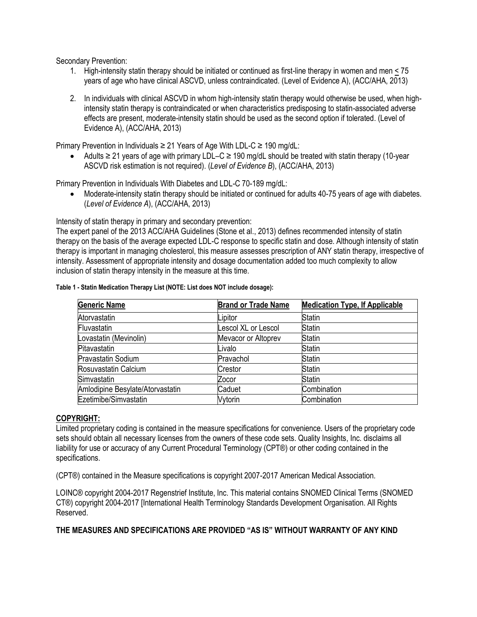Secondary Prevention:

- 1. High-intensity statin therapy should be initiated or continued as first-line therapy in women and men < 75 years of age who have clinical ASCVD, unless contraindicated. (Level of Evidence A), (ACC/AHA, 2013)
- 2. In individuals with clinical ASCVD in whom high-intensity statin therapy would otherwise be used, when highintensity statin therapy is contraindicated or when characteristics predisposing to statin-associated adverse effects are present, moderate-intensity statin should be used as the second option if tolerated. (Level of Evidence A), (ACC/AHA, 2013)

Primary Prevention in Individuals ≥ 21 Years of Age With LDL-C ≥ 190 mg/dL:

• Adults ≥ 21 years of age with primary LDL–C ≥ 190 mg/dL should be treated with statin therapy (10-year ASCVD risk estimation is not required). (*Level of Evidence B*), (ACC/AHA, 2013)

Primary Prevention in Individuals With Diabetes and LDL-C 70-189 mg/dL:

• Moderate-intensity statin therapy should be initiated or continued for adults 40-75 years of age with diabetes. (*Level of Evidence A*), (ACC/AHA, 2013)

Intensity of statin therapy in primary and secondary prevention:

The expert panel of the 2013 ACC/AHA Guidelines (Stone et al., 2013) defines recommended intensity of statin therapy on the basis of the average expected LDL-C response to specific statin and dose. Although intensity of statin therapy is important in managing cholesterol, this measure assesses prescription of ANY statin therapy, irrespective of intensity. Assessment of appropriate intensity and dosage documentation added too much complexity to allow inclusion of statin therapy intensity in the measure at this time.

| <b>Generic Name</b>              | <b>Brand or Trade Name</b> | <b>Medication Type, If Applicable</b> |
|----------------------------------|----------------------------|---------------------------------------|
| Atorvastatin                     | Lipitor                    | <b>Statin</b>                         |
| Fluvastatin                      | Lescol XL or Lescol        | <b>Statin</b>                         |
| Lovastatin (Mevinolin)           | Mevacor or Altoprev        | Statin                                |
| Pitavastatin                     | Livalo                     | Statin                                |
| Pravastatin Sodium               | Pravachol                  | <b>Statin</b>                         |
| Rosuvastatin Calcium             | Crestor                    | <b>Statin</b>                         |
| Simvastatin                      | Zocor                      | Statin                                |
| Amlodipine Besylate/Atorvastatin | Caduet                     | Combination                           |
| Ezetimibe/Simvastatin            | Vytorin                    | Combination                           |

**Table 1 - Statin Medication Therapy List (NOTE: List does NOT include dosage):**

#### **COPYRIGHT:**

Limited proprietary coding is contained in the measure specifications for convenience. Users of the proprietary code sets should obtain all necessary licenses from the owners of these code sets. Quality Insights, Inc. disclaims all liability for use or accuracy of any Current Procedural Terminology (CPT®) or other coding contained in the specifications.

(CPT®) contained in the Measure specifications is copyright 2007-2017 American Medical Association.

LOINC® copyright 2004-2017 Regenstrief Institute, Inc. This material contains SNOMED Clinical Terms (SNOMED CT®) copyright 2004-2017 [International Health Terminology Standards Development Organisation. All Rights Reserved.

**THE MEASURES AND SPECIFICATIONS ARE PROVIDED "AS IS" WITHOUT WARRANTY OF ANY KIND**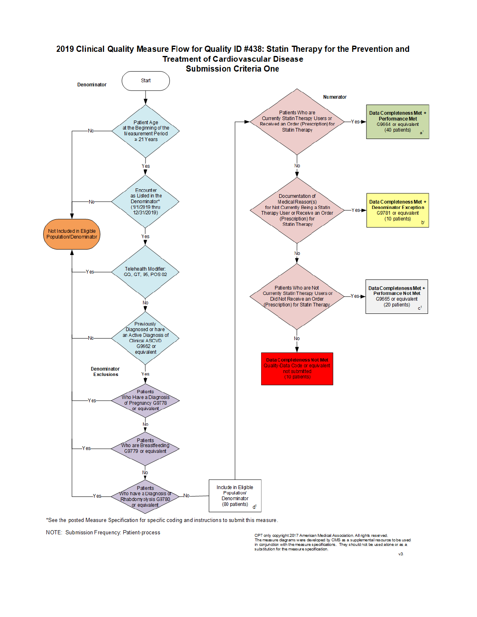

\*See the posted Measure Specification for specific coding and instructions to submit this measure.

NOTE: Submission Frequency: Patient-process

CPT only copyright 2017 American Medical Association. All rights reserved.<br>The measure diagrams were developed by CMS as a supplemental resource to be used<br>in conjunction with the measure specifications. They should not be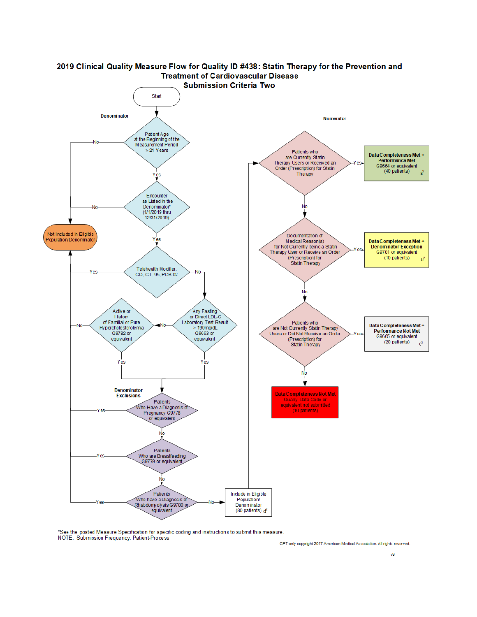

# 2019 Clinical Quality Measure Flow for Quality ID #438: Statin Therapy for the Prevention and

\*See the posted Measure Specification for specific coding and instructions to submit this measure.<br>NOTE: Submission Frequency: Patient-Process

CPT only copyright 2017 American Medical Association. All rights reserved.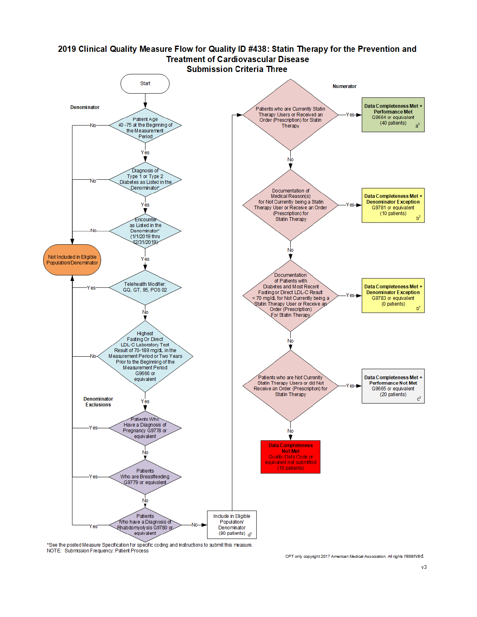

\*See the posted Measure Specification for specific coding and instructions to submit this measure. NOTE: Submission Frequency: Patient Process

CPT only copyright 2017 American Medical Association. All rights TeSeTVed.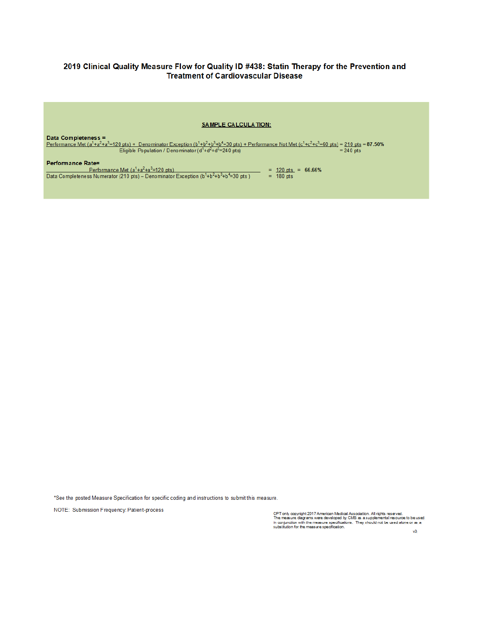#### 2019 Clinical Quality Measure Flow for Quality ID #438: Statin Therapy for the Prevention and **Treatment of Cardiovascular Disease**



Data Completeness = <u>Performance Met (a<sup>1</sup>+a<sup>2</sup>+a<sup>3</sup>=120 pts) + Denominator Exception (b<sup>1</sup>+b<sup>2</sup>+b<sup>4</sup>=30 pts) + Performance Not Met (c<sup>1</sup>+c<sup>2</sup>+c<sup>3</sup>=60 pts) = 210 pts = 87.50%<br>Eligible Population / Denominator (d<sup>1</sup>+d<sup>2</sup>+d<sup>3</sup>=240 pts) = 240 p</u> Performance Rate=

 $\frac{\text{Performance Uet (a}^1+a^2+a^3=120 \text{ pts})}{\text{Data Completeness Numerator (210 pts)} - \text{Denominator Exception (b}^1+b^2+b^3+b^4=30 \text{ pts})} = \frac{120 \text{ pts}}{180 \text{ pts}} = 66.66\%$ 

\*See the posted Measure Specification for specific coding and instructions to submit this measure.

NOTE: Submission Frequency: Patient-process

CPT only copyright 2017 American Medical Association. All rights reserved.<br>The measure diagrams were developed by CMS as a supplemental resource to be used<br>in conjunction with the measure specifications. They should not be

 $\sqrt{3}$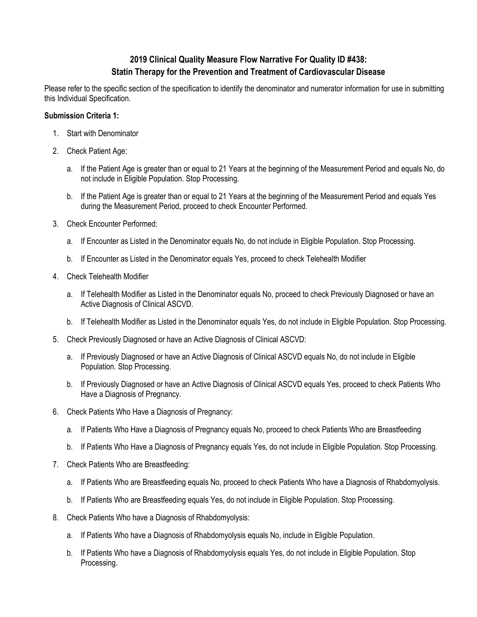# **2019 Clinical Quality Measure Flow Narrative For Quality ID #438: Statin Therapy for the Prevention and Treatment of Cardiovascular Disease**

Please refer to the specific section of the specification to identify the denominator and numerator information for use in submitting this Individual Specification.

#### **Submission Criteria 1:**

- 1. Start with Denominator
- 2. Check Patient Age:
	- a. If the Patient Age is greater than or equal to 21 Years at the beginning of the Measurement Period and equals No, do not include in Eligible Population. Stop Processing.
	- b. If the Patient Age is greater than or equal to 21 Years at the beginning of the Measurement Period and equals Yes during the Measurement Period, proceed to check Encounter Performed.
- 3. Check Encounter Performed:
	- a. If Encounter as Listed in the Denominator equals No, do not include in Eligible Population. Stop Processing.
	- b. If Encounter as Listed in the Denominator equals Yes, proceed to check Telehealth Modifier
- 4. Check Telehealth Modifier
	- a. If Telehealth Modifier as Listed in the Denominator equals No, proceed to check Previously Diagnosed or have an Active Diagnosis of Clinical ASCVD.
	- b. If Telehealth Modifier as Listed in the Denominator equals Yes, do not include in Eligible Population. Stop Processing.
- 5. Check Previously Diagnosed or have an Active Diagnosis of Clinical ASCVD:
	- a. If Previously Diagnosed or have an Active Diagnosis of Clinical ASCVD equals No, do not include in Eligible Population. Stop Processing.
	- b. If Previously Diagnosed or have an Active Diagnosis of Clinical ASCVD equals Yes, proceed to check Patients Who Have a Diagnosis of Pregnancy.
- 6. Check Patients Who Have a Diagnosis of Pregnancy:
	- a. If Patients Who Have a Diagnosis of Pregnancy equals No, proceed to check Patients Who are Breastfeeding
	- b. If Patients Who Have a Diagnosis of Pregnancy equals Yes, do not include in Eligible Population. Stop Processing.
- 7. Check Patients Who are Breastfeeding:
	- a. If Patients Who are Breastfeeding equals No, proceed to check Patients Who have a Diagnosis of Rhabdomyolysis.
	- b. If Patients Who are Breastfeeding equals Yes, do not include in Eligible Population. Stop Processing.
- 8. Check Patients Who have a Diagnosis of Rhabdomyolysis:
	- a. If Patients Who have a Diagnosis of Rhabdomyolysis equals No, include in Eligible Population.
	- b. If Patients Who have a Diagnosis of Rhabdomyolysis equals Yes, do not include in Eligible Population. Stop Processing.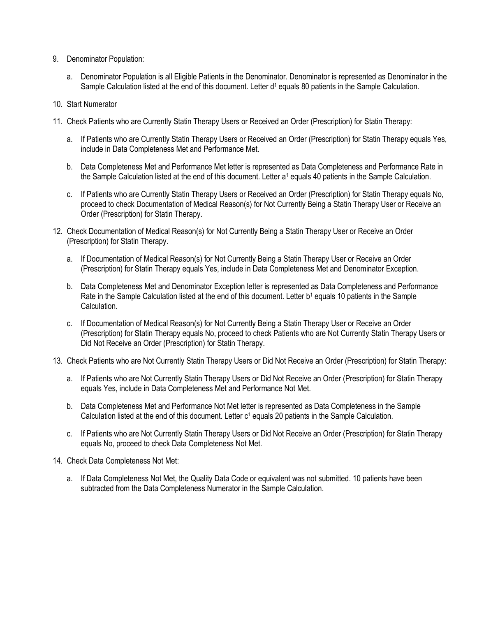- 9. Denominator Population:
	- a. Denominator Population is all Eligible Patients in the Denominator. Denominator is represented as Denominator in the Sample Calculation listed at the end of this document. Letter d<sup>1</sup> equals 80 patients in the Sample Calculation.
- 10. Start Numerator
- 11. Check Patients who are Currently Statin Therapy Users or Received an Order (Prescription) for Statin Therapy:
	- a. If Patients who are Currently Statin Therapy Users or Received an Order (Prescription) for Statin Therapy equals Yes, include in Data Completeness Met and Performance Met.
	- b. Data Completeness Met and Performance Met letter is represented as Data Completeness and Performance Rate in the Sample Calculation listed at the end of this document. Letter a<sup>1</sup> equals 40 patients in the Sample Calculation.
	- c. If Patients who are Currently Statin Therapy Users or Received an Order (Prescription) for Statin Therapy equals No, proceed to check Documentation of Medical Reason(s) for Not Currently Being a Statin Therapy User or Receive an Order (Prescription) for Statin Therapy.
- 12. Check Documentation of Medical Reason(s) for Not Currently Being a Statin Therapy User or Receive an Order (Prescription) for Statin Therapy.
	- a. If Documentation of Medical Reason(s) for Not Currently Being a Statin Therapy User or Receive an Order (Prescription) for Statin Therapy equals Yes, include in Data Completeness Met and Denominator Exception.
	- b. Data Completeness Met and Denominator Exception letter is represented as Data Completeness and Performance Rate in the Sample Calculation listed at the end of this document. Letter b<sup>1</sup> equals 10 patients in the Sample Calculation.
	- c. If Documentation of Medical Reason(s) for Not Currently Being a Statin Therapy User or Receive an Order (Prescription) for Statin Therapy equals No, proceed to check Patients who are Not Currently Statin Therapy Users or Did Not Receive an Order (Prescription) for Statin Therapy.
- 13. Check Patients who are Not Currently Statin Therapy Users or Did Not Receive an Order (Prescription) for Statin Therapy:
	- a. If Patients who are Not Currently Statin Therapy Users or Did Not Receive an Order (Prescription) for Statin Therapy equals Yes, include in Data Completeness Met and Performance Not Met.
	- b. Data Completeness Met and Performance Not Met letter is represented as Data Completeness in the Sample Calculation listed at the end of this document. Letter c<sup>1</sup> equals 20 patients in the Sample Calculation.
	- c. If Patients who are Not Currently Statin Therapy Users or Did Not Receive an Order (Prescription) for Statin Therapy equals No, proceed to check Data Completeness Not Met.
- 14. Check Data Completeness Not Met:
	- a. If Data Completeness Not Met, the Quality Data Code or equivalent was not submitted. 10 patients have been subtracted from the Data Completeness Numerator in the Sample Calculation.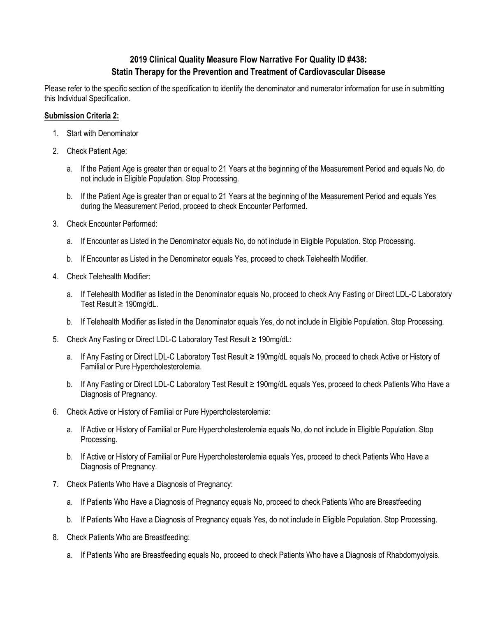# **2019 Clinical Quality Measure Flow Narrative For Quality ID #438: Statin Therapy for the Prevention and Treatment of Cardiovascular Disease**

Please refer to the specific section of the specification to identify the denominator and numerator information for use in submitting this Individual Specification.

#### **Submission Criteria 2:**

- 1. Start with Denominator
- 2. Check Patient Age:
	- a. If the Patient Age is greater than or equal to 21 Years at the beginning of the Measurement Period and equals No, do not include in Eligible Population. Stop Processing.
	- b. If the Patient Age is greater than or equal to 21 Years at the beginning of the Measurement Period and equals Yes during the Measurement Period, proceed to check Encounter Performed.
- 3. Check Encounter Performed:
	- a. If Encounter as Listed in the Denominator equals No, do not include in Eligible Population. Stop Processing.
	- b. If Encounter as Listed in the Denominator equals Yes, proceed to check Telehealth Modifier.
- 4. Check Telehealth Modifier:
	- a. If Telehealth Modifier as listed in the Denominator equals No, proceed to check Any Fasting or Direct LDL-C Laboratory Test Result ≥ 190mg/dL.
	- b. If Telehealth Modifier as listed in the Denominator equals Yes, do not include in Eligible Population. Stop Processing.
- 5. Check Any Fasting or Direct LDL-C Laboratory Test Result ≥ 190mg/dL:
	- a. If Any Fasting or Direct LDL-C Laboratory Test Result ≥ 190mg/dL equals No, proceed to check Active or History of Familial or Pure Hypercholesterolemia.
	- b. If Any Fasting or Direct LDL-C Laboratory Test Result ≥ 190mg/dL equals Yes, proceed to check Patients Who Have a Diagnosis of Pregnancy.
- 6. Check Active or History of Familial or Pure Hypercholesterolemia:
	- a. If Active or History of Familial or Pure Hypercholesterolemia equals No, do not include in Eligible Population. Stop Processing.
	- b. If Active or History of Familial or Pure Hypercholesterolemia equals Yes, proceed to check Patients Who Have a Diagnosis of Pregnancy.
- 7. Check Patients Who Have a Diagnosis of Pregnancy:
	- a. If Patients Who Have a Diagnosis of Pregnancy equals No, proceed to check Patients Who are Breastfeeding
	- b. If Patients Who Have a Diagnosis of Pregnancy equals Yes, do not include in Eligible Population. Stop Processing.
- 8. Check Patients Who are Breastfeeding:
	- a. If Patients Who are Breastfeeding equals No, proceed to check Patients Who have a Diagnosis of Rhabdomyolysis.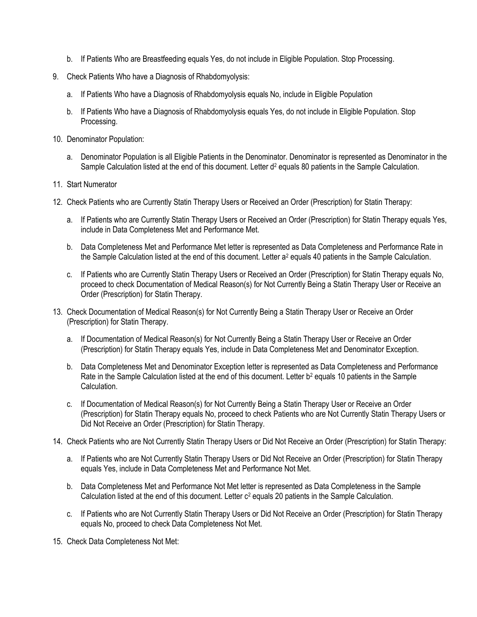- b. If Patients Who are Breastfeeding equals Yes, do not include in Eligible Population. Stop Processing.
- 9. Check Patients Who have a Diagnosis of Rhabdomyolysis:
	- a. If Patients Who have a Diagnosis of Rhabdomyolysis equals No, include in Eligible Population
	- b. If Patients Who have a Diagnosis of Rhabdomyolysis equals Yes, do not include in Eligible Population. Stop Processing.
- 10. Denominator Population:
	- a. Denominator Population is all Eligible Patients in the Denominator. Denominator is represented as Denominator in the Sample Calculation listed at the end of this document. Letter  $d^2$  equals 80 patients in the Sample Calculation.
- 11. Start Numerator
- 12. Check Patients who are Currently Statin Therapy Users or Received an Order (Prescription) for Statin Therapy:
	- a. If Patients who are Currently Statin Therapy Users or Received an Order (Prescription) for Statin Therapy equals Yes, include in Data Completeness Met and Performance Met.
	- b. Data Completeness Met and Performance Met letter is represented as Data Completeness and Performance Rate in the Sample Calculation listed at the end of this document. Letter a<sup>2</sup> equals 40 patients in the Sample Calculation.
	- c. If Patients who are Currently Statin Therapy Users or Received an Order (Prescription) for Statin Therapy equals No, proceed to check Documentation of Medical Reason(s) for Not Currently Being a Statin Therapy User or Receive an Order (Prescription) for Statin Therapy.
- 13. Check Documentation of Medical Reason(s) for Not Currently Being a Statin Therapy User or Receive an Order (Prescription) for Statin Therapy.
	- a. If Documentation of Medical Reason(s) for Not Currently Being a Statin Therapy User or Receive an Order (Prescription) for Statin Therapy equals Yes, include in Data Completeness Met and Denominator Exception.
	- b. Data Completeness Met and Denominator Exception letter is represented as Data Completeness and Performance Rate in the Sample Calculation listed at the end of this document. Letter  $b^2$  equals 10 patients in the Sample Calculation.
	- c. If Documentation of Medical Reason(s) for Not Currently Being a Statin Therapy User or Receive an Order (Prescription) for Statin Therapy equals No, proceed to check Patients who are Not Currently Statin Therapy Users or Did Not Receive an Order (Prescription) for Statin Therapy.
- 14. Check Patients who are Not Currently Statin Therapy Users or Did Not Receive an Order (Prescription) for Statin Therapy:
	- a. If Patients who are Not Currently Statin Therapy Users or Did Not Receive an Order (Prescription) for Statin Therapy equals Yes, include in Data Completeness Met and Performance Not Met.
	- b. Data Completeness Met and Performance Not Met letter is represented as Data Completeness in the Sample Calculation listed at the end of this document. Letter  $c^2$  equals 20 patients in the Sample Calculation.
	- c. If Patients who are Not Currently Statin Therapy Users or Did Not Receive an Order (Prescription) for Statin Therapy equals No, proceed to check Data Completeness Not Met.
- 15. Check Data Completeness Not Met: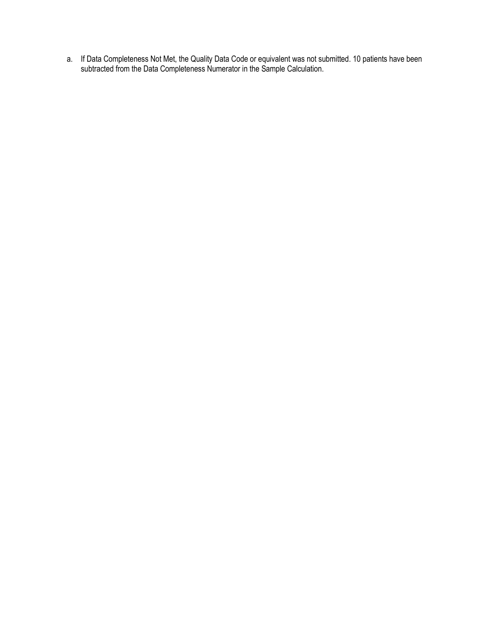a. If Data Completeness Not Met, the Quality Data Code or equivalent was not submitted. 10 patients have been subtracted from the Data Completeness Numerator in the Sample Calculation.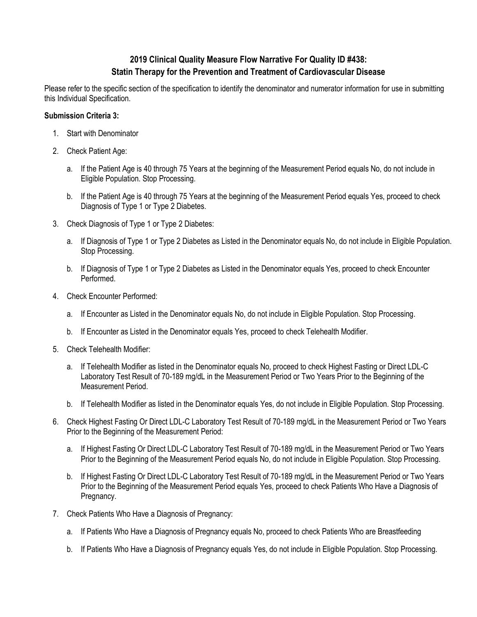# **2019 Clinical Quality Measure Flow Narrative For Quality ID #438: Statin Therapy for the Prevention and Treatment of Cardiovascular Disease**

Please refer to the specific section of the specification to identify the denominator and numerator information for use in submitting this Individual Specification.

#### **Submission Criteria 3:**

- 1. Start with Denominator
- 2. Check Patient Age:
	- a. If the Patient Age is 40 through 75 Years at the beginning of the Measurement Period equals No, do not include in Eligible Population. Stop Processing.
	- b. If the Patient Age is 40 through 75 Years at the beginning of the Measurement Period equals Yes, proceed to check Diagnosis of Type 1 or Type 2 Diabetes.
- 3. Check Diagnosis of Type 1 or Type 2 Diabetes:
	- a. If Diagnosis of Type 1 or Type 2 Diabetes as Listed in the Denominator equals No, do not include in Eligible Population. Stop Processing.
	- b. If Diagnosis of Type 1 or Type 2 Diabetes as Listed in the Denominator equals Yes, proceed to check Encounter Performed.
- 4. Check Encounter Performed:
	- a. If Encounter as Listed in the Denominator equals No, do not include in Eligible Population. Stop Processing.
	- b. If Encounter as Listed in the Denominator equals Yes, proceed to check Telehealth Modifier.
- 5. Check Telehealth Modifier:
	- a. If Telehealth Modifier as listed in the Denominator equals No, proceed to check Highest Fasting or Direct LDL-C Laboratory Test Result of 70-189 mg/dL in the Measurement Period or Two Years Prior to the Beginning of the Measurement Period.
	- b. If Telehealth Modifier as listed in the Denominator equals Yes, do not include in Eligible Population. Stop Processing.
- 6. Check Highest Fasting Or Direct LDL-C Laboratory Test Result of 70-189 mg/dL in the Measurement Period or Two Years Prior to the Beginning of the Measurement Period:
	- a. If Highest Fasting Or Direct LDL-C Laboratory Test Result of 70-189 mg/dL in the Measurement Period or Two Years Prior to the Beginning of the Measurement Period equals No, do not include in Eligible Population. Stop Processing.
	- b. If Highest Fasting Or Direct LDL-C Laboratory Test Result of 70-189 mg/dL in the Measurement Period or Two Years Prior to the Beginning of the Measurement Period equals Yes, proceed to check Patients Who Have a Diagnosis of Pregnancy.
- 7. Check Patients Who Have a Diagnosis of Pregnancy:
	- a. If Patients Who Have a Diagnosis of Pregnancy equals No, proceed to check Patients Who are Breastfeeding
	- b. If Patients Who Have a Diagnosis of Pregnancy equals Yes, do not include in Eligible Population. Stop Processing.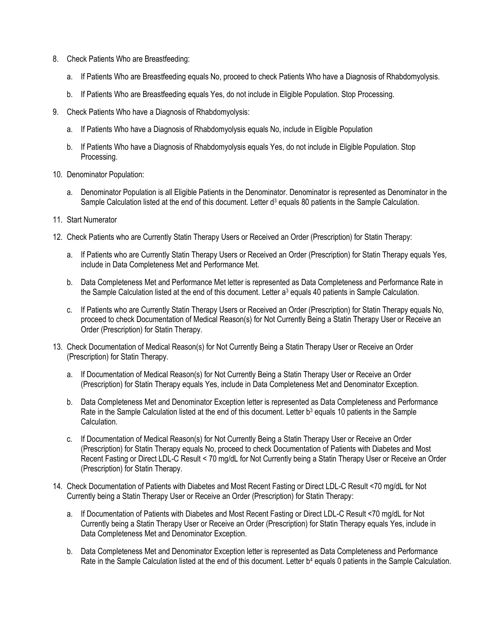- 8. Check Patients Who are Breastfeeding:
	- a. If Patients Who are Breastfeeding equals No, proceed to check Patients Who have a Diagnosis of Rhabdomyolysis.
	- b. If Patients Who are Breastfeeding equals Yes, do not include in Eligible Population. Stop Processing.
- 9. Check Patients Who have a Diagnosis of Rhabdomyolysis:
	- a. If Patients Who have a Diagnosis of Rhabdomyolysis equals No, include in Eligible Population
	- b. If Patients Who have a Diagnosis of Rhabdomyolysis equals Yes, do not include in Eligible Population. Stop Processing.
- 10. Denominator Population:
	- a. Denominator Population is all Eligible Patients in the Denominator. Denominator is represented as Denominator in the Sample Calculation listed at the end of this document. Letter  $d<sup>3</sup>$  equals 80 patients in the Sample Calculation.
- 11. Start Numerator
- 12. Check Patients who are Currently Statin Therapy Users or Received an Order (Prescription) for Statin Therapy:
	- a. If Patients who are Currently Statin Therapy Users or Received an Order (Prescription) for Statin Therapy equals Yes, include in Data Completeness Met and Performance Met.
	- b. Data Completeness Met and Performance Met letter is represented as Data Completeness and Performance Rate in the Sample Calculation listed at the end of this document. Letter a<sup>3</sup> equals 40 patients in Sample Calculation.
	- c. If Patients who are Currently Statin Therapy Users or Received an Order (Prescription) for Statin Therapy equals No, proceed to check Documentation of Medical Reason(s) for Not Currently Being a Statin Therapy User or Receive an Order (Prescription) for Statin Therapy.
- 13. Check Documentation of Medical Reason(s) for Not Currently Being a Statin Therapy User or Receive an Order (Prescription) for Statin Therapy.
	- a. If Documentation of Medical Reason(s) for Not Currently Being a Statin Therapy User or Receive an Order (Prescription) for Statin Therapy equals Yes, include in Data Completeness Met and Denominator Exception.
	- b. Data Completeness Met and Denominator Exception letter is represented as Data Completeness and Performance Rate in the Sample Calculation listed at the end of this document. Letter b<sup>3</sup> equals 10 patients in the Sample Calculation.
	- c. If Documentation of Medical Reason(s) for Not Currently Being a Statin Therapy User or Receive an Order (Prescription) for Statin Therapy equals No, proceed to check Documentation of Patients with Diabetes and Most Recent Fasting or Direct LDL-C Result < 70 mg/dL for Not Currently being a Statin Therapy User or Receive an Order (Prescription) for Statin Therapy.
- 14. Check Documentation of Patients with Diabetes and Most Recent Fasting or Direct LDL-C Result <70 mg/dL for Not Currently being a Statin Therapy User or Receive an Order (Prescription) for Statin Therapy:
	- a. If Documentation of Patients with Diabetes and Most Recent Fasting or Direct LDL-C Result <70 mg/dL for Not Currently being a Statin Therapy User or Receive an Order (Prescription) for Statin Therapy equals Yes, include in Data Completeness Met and Denominator Exception.
	- b. Data Completeness Met and Denominator Exception letter is represented as Data Completeness and Performance Rate in the Sample Calculation listed at the end of this document. Letter b<sup>4</sup> equals 0 patients in the Sample Calculation.